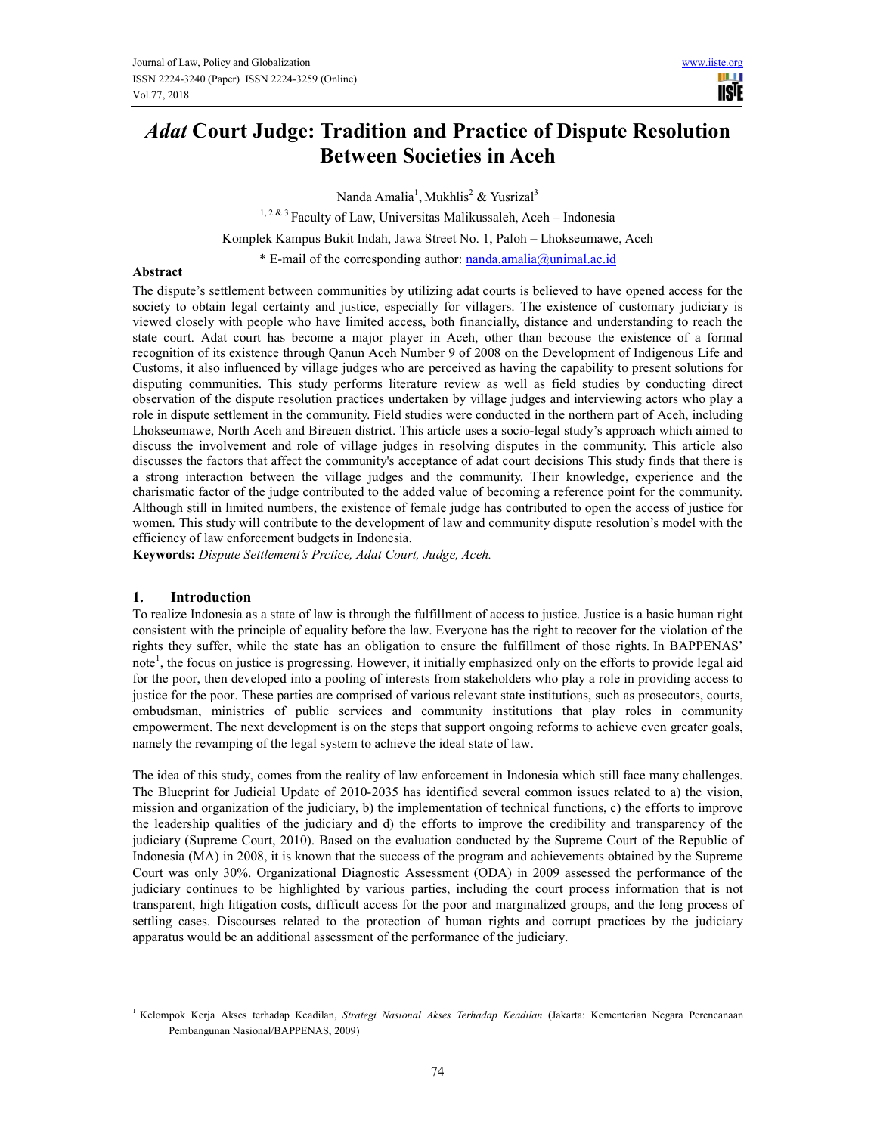# *Adat* **Court Judge: Tradition and Practice of Dispute Resolution Between Societies in Aceh**

Nanda Amalia<sup>1</sup>, Mukhlis<sup>2</sup> & Yusrizal<sup>3</sup>

 $^{1,2\, \&\, 3}$  Faculty of Law, Universitas Malikussaleh, Aceh – Indonesia Komplek Kampus Bukit Indah, Jawa Street No. 1, Paloh – Lhokseumawe, Aceh \* E-mail of the corresponding author: nanda.amalia@unimal.ac.id

#### **Abstract**

The dispute's settlement between communities by utilizing adat courts is believed to have opened access for the society to obtain legal certainty and justice, especially for villagers. The existence of customary judiciary is viewed closely with people who have limited access, both financially, distance and understanding to reach the state court. Adat court has become a major player in Aceh, other than becouse the existence of a formal recognition of its existence through Qanun Aceh Number 9 of 2008 on the Development of Indigenous Life and Customs, it also influenced by village judges who are perceived as having the capability to present solutions for disputing communities. This study performs literature review as well as field studies by conducting direct observation of the dispute resolution practices undertaken by village judges and interviewing actors who play a role in dispute settlement in the community. Field studies were conducted in the northern part of Aceh, including Lhokseumawe, North Aceh and Bireuen district. This article uses a socio-legal study's approach which aimed to discuss the involvement and role of village judges in resolving disputes in the community. This article also discusses the factors that affect the community's acceptance of adat court decisions This study finds that there is a strong interaction between the village judges and the community. Their knowledge, experience and the charismatic factor of the judge contributed to the added value of becoming a reference point for the community. Although still in limited numbers, the existence of female judge has contributed to open the access of justice for women. This study will contribute to the development of law and community dispute resolution's model with the efficiency of law enforcement budgets in Indonesia.

**Keywords:** *Dispute Settlement's Prctice, Adat Court, Judge, Aceh.* 

## **1. Introduction**

 $\overline{a}$ 

To realize Indonesia as a state of law is through the fulfillment of access to justice. Justice is a basic human right consistent with the principle of equality before the law. Everyone has the right to recover for the violation of the rights they suffer, while the state has an obligation to ensure the fulfillment of those rights. In BAPPENAS' note<sup>1</sup>, the focus on justice is progressing. However, it initially emphasized only on the efforts to provide legal aid for the poor, then developed into a pooling of interests from stakeholders who play a role in providing access to justice for the poor. These parties are comprised of various relevant state institutions, such as prosecutors, courts, ombudsman, ministries of public services and community institutions that play roles in community empowerment. The next development is on the steps that support ongoing reforms to achieve even greater goals, namely the revamping of the legal system to achieve the ideal state of law.

The idea of this study, comes from the reality of law enforcement in Indonesia which still face many challenges. The Blueprint for Judicial Update of 2010-2035 has identified several common issues related to a) the vision, mission and organization of the judiciary, b) the implementation of technical functions, c) the efforts to improve the leadership qualities of the judiciary and d) the efforts to improve the credibility and transparency of the judiciary (Supreme Court, 2010). Based on the evaluation conducted by the Supreme Court of the Republic of Indonesia (MA) in 2008, it is known that the success of the program and achievements obtained by the Supreme Court was only 30%. Organizational Diagnostic Assessment (ODA) in 2009 assessed the performance of the judiciary continues to be highlighted by various parties, including the court process information that is not transparent, high litigation costs, difficult access for the poor and marginalized groups, and the long process of settling cases. Discourses related to the protection of human rights and corrupt practices by the judiciary apparatus would be an additional assessment of the performance of the judiciary.

<sup>1</sup> Kelompok Kerja Akses terhadap Keadilan, *Strategi Nasional Akses Terhadap Keadilan* (Jakarta: Kementerian Negara Perencanaan Pembangunan Nasional/BAPPENAS, 2009)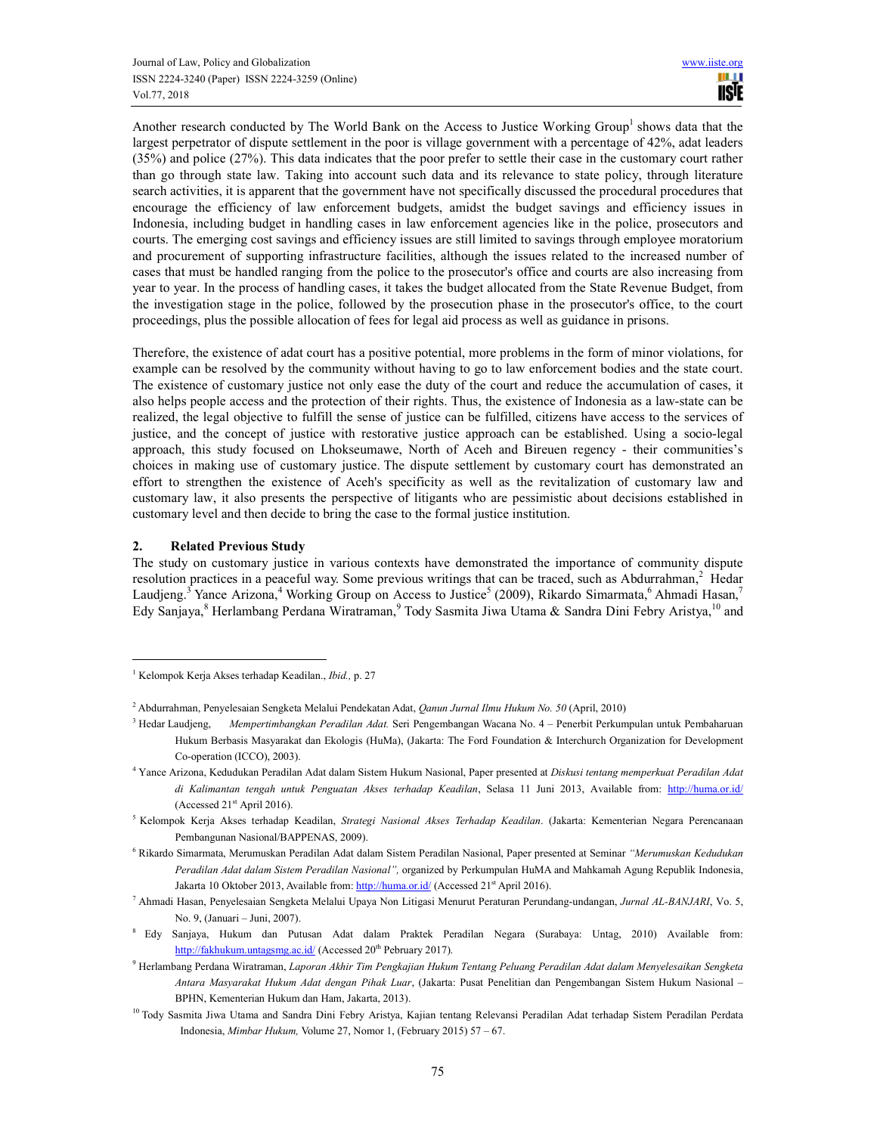Another research conducted by The World Bank on the Access to Justice Working Group<sup>1</sup> shows data that the largest perpetrator of dispute settlement in the poor is village government with a percentage of 42%, adat leaders (35%) and police (27%). This data indicates that the poor prefer to settle their case in the customary court rather than go through state law. Taking into account such data and its relevance to state policy, through literature search activities, it is apparent that the government have not specifically discussed the procedural procedures that encourage the efficiency of law enforcement budgets, amidst the budget savings and efficiency issues in Indonesia, including budget in handling cases in law enforcement agencies like in the police, prosecutors and courts. The emerging cost savings and efficiency issues are still limited to savings through employee moratorium and procurement of supporting infrastructure facilities, although the issues related to the increased number of cases that must be handled ranging from the police to the prosecutor's office and courts are also increasing from year to year. In the process of handling cases, it takes the budget allocated from the State Revenue Budget, from the investigation stage in the police, followed by the prosecution phase in the prosecutor's office, to the court proceedings, plus the possible allocation of fees for legal aid process as well as guidance in prisons.

Therefore, the existence of adat court has a positive potential, more problems in the form of minor violations, for example can be resolved by the community without having to go to law enforcement bodies and the state court. The existence of customary justice not only ease the duty of the court and reduce the accumulation of cases, it also helps people access and the protection of their rights. Thus, the existence of Indonesia as a law-state can be realized, the legal objective to fulfill the sense of justice can be fulfilled, citizens have access to the services of justice, and the concept of justice with restorative justice approach can be established. Using a socio-legal approach, this study focused on Lhokseumawe, North of Aceh and Bireuen regency - their communities's choices in making use of customary justice. The dispute settlement by customary court has demonstrated an effort to strengthen the existence of Aceh's specificity as well as the revitalization of customary law and customary law, it also presents the perspective of litigants who are pessimistic about decisions established in customary level and then decide to bring the case to the formal justice institution.

### **2. Related Previous Study**

 $\overline{a}$ 

The study on customary justice in various contexts have demonstrated the importance of community dispute resolution practices in a peaceful way. Some previous writings that can be traced, such as Abdurrahman,<sup>2</sup> Hedar Laudjeng.<sup>3</sup> Yance Arizona,<sup>4</sup> Working Group on Access to Justice<sup>5</sup> (2009), Rikardo Simarmata,<sup>6</sup> Ahmadi Hasan,<sup>7</sup> Edy Sanjaya, <sup>8</sup> Herlambang Perdana Wiratraman, <sup>9</sup> Tody Sasmita Jiwa Utama & Sandra Dini Febry Aristya, <sup>10</sup> and

<sup>1</sup> Kelompok Kerja Akses terhadap Keadilan., *Ibid.,* p. 27

<sup>2</sup> Abdurrahman, Penyelesaian Sengketa Melalui Pendekatan Adat, *Qanun Jurnal Ilmu Hukum No. 50* (April, 2010)

 $^3$  Hedar Laudjeng, Hedar Laudjeng, *Mempertimbangkan Peradilan Adat.* Seri Pengembangan Wacana No. 4 – Penerbit Perkumpulan untuk Pembaharuan Hukum Berbasis Masyarakat dan Ekologis (HuMa), (Jakarta: The Ford Foundation & Interchurch Organization for Development Co-operation (ICCO), 2003).

<sup>4</sup> Yance Arizona, Kedudukan Peradilan Adat dalam Sistem Hukum Nasional, Paper presented at *Diskusi tentang memperkuat Peradilan Adat di Kalimantan tengah untuk Penguatan Akses terhadap Keadilan*, Selasa 11 Juni 2013, Available from: http://huma.or.id/ (Accessed  $21<sup>st</sup>$  April 2016).

<sup>5</sup> Kelompok Kerja Akses terhadap Keadilan, *Strategi Nasional Akses Terhadap Keadilan*. (Jakarta: Kementerian Negara Perencanaan Pembangunan Nasional/BAPPENAS, 2009).

<sup>6</sup> Rikardo Simarmata, Merumuskan Peradilan Adat dalam Sistem Peradilan Nasional, Paper presented at Seminar *"Merumuskan Kedudukan Peradilan Adat dalam Sistem Peradilan Nasional",* organized by Perkumpulan HuMA and Mahkamah Agung Republik Indonesia, Jakarta 10 Oktober 2013, Available from: http://huma.or.id/ (Accessed 21st April 2016).

<sup>7</sup> Ahmadi Hasan, Penyelesaian Sengketa Melalui Upaya Non Litigasi Menurut Peraturan Perundang-undangan, *Jurnal AL-BANJARI*, Vo. 5, No. 9, (Januari – Juni, 2007).

<sup>8</sup> Edy Sanjaya, Hukum dan Putusan Adat dalam Praktek Peradilan Negara (Surabaya: Untag, 2010) Available from: http://fakhukum.untagsmg.ac.id/ (Accessed 20<sup>th</sup> Pebruary 2017).

<sup>9</sup> Herlambang Perdana Wiratraman, *Laporan Akhir Tim Pengkajian Hukum Tentang Peluang Peradilan Adat dalam Menyelesaikan Sengketa Antara Masyarakat Hukum Adat dengan Pihak Luar*, (Jakarta: Pusat Penelitian dan Pengembangan Sistem Hukum Nasional – BPHN, Kementerian Hukum dan Ham, Jakarta, 2013).

<sup>&</sup>lt;sup>10</sup> Tody Sasmita Jiwa Utama and Sandra Dini Febry Aristya, Kajian tentang Relevansi Peradilan Adat terhadap Sistem Peradilan Perdata Indonesia, *Mimbar Hukum,* Volume 27, Nomor 1, (February 2015) 57 – 67.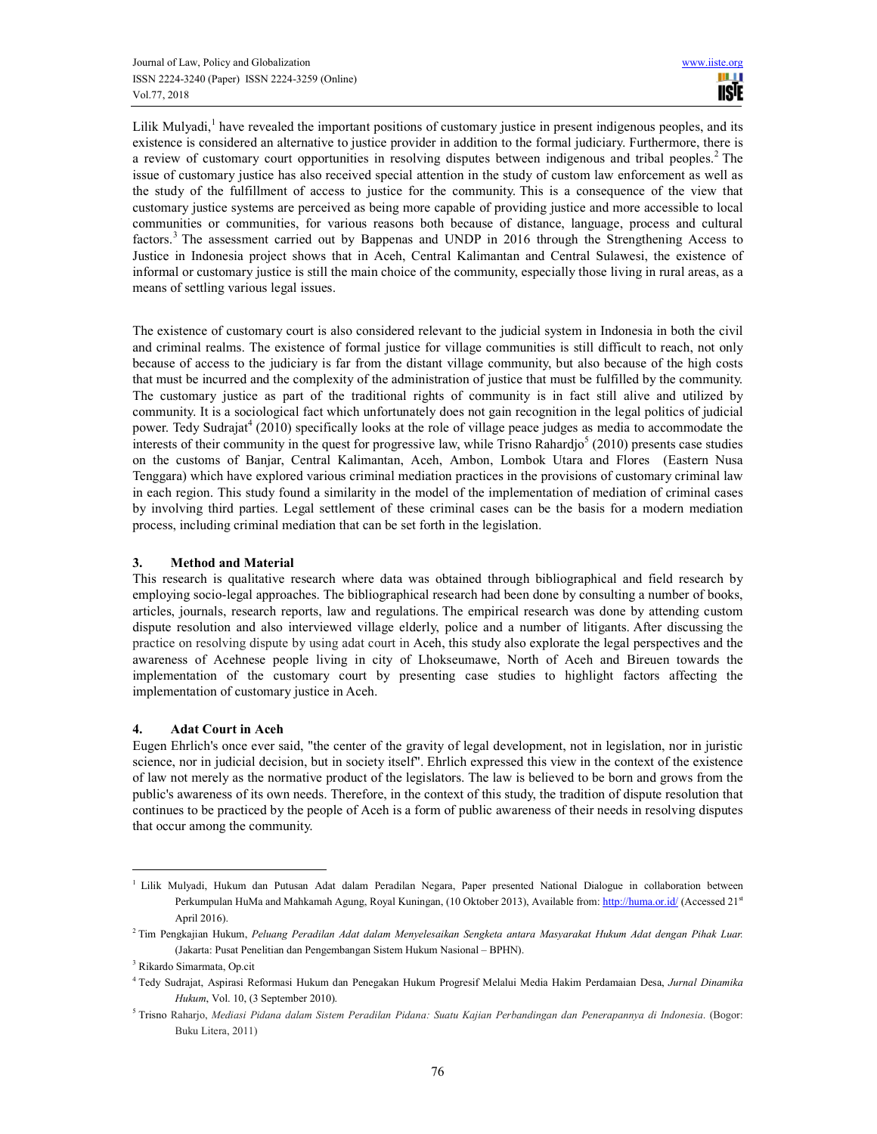Lilik Mulyadi,<sup>1</sup> have revealed the important positions of customary justice in present indigenous peoples, and its existence is considered an alternative to justice provider in addition to the formal judiciary. Furthermore, there is a review of customary court opportunities in resolving disputes between indigenous and tribal peoples.<sup>2</sup> The issue of customary justice has also received special attention in the study of custom law enforcement as well as the study of the fulfillment of access to justice for the community. This is a consequence of the view that customary justice systems are perceived as being more capable of providing justice and more accessible to local communities or communities, for various reasons both because of distance, language, process and cultural factors.<sup>3</sup> The assessment carried out by Bappenas and UNDP in 2016 through the Strengthening Access to Justice in Indonesia project shows that in Aceh, Central Kalimantan and Central Sulawesi, the existence of informal or customary justice is still the main choice of the community, especially those living in rural areas, as a means of settling various legal issues.

The existence of customary court is also considered relevant to the judicial system in Indonesia in both the civil and criminal realms. The existence of formal justice for village communities is still difficult to reach, not only because of access to the judiciary is far from the distant village community, but also because of the high costs that must be incurred and the complexity of the administration of justice that must be fulfilled by the community. The customary justice as part of the traditional rights of community is in fact still alive and utilized by community. It is a sociological fact which unfortunately does not gain recognition in the legal politics of judicial power. Tedy Sudrajat<sup>4</sup> (2010) specifically looks at the role of village peace judges as media to accommodate the interests of their community in the quest for progressive law, while Trisno Rahardjo<sup>5</sup> (2010) presents case studies on the customs of Banjar, Central Kalimantan, Aceh, Ambon, Lombok Utara and Flores (Eastern Nusa Tenggara) which have explored various criminal mediation practices in the provisions of customary criminal law in each region. This study found a similarity in the model of the implementation of mediation of criminal cases by involving third parties. Legal settlement of these criminal cases can be the basis for a modern mediation process, including criminal mediation that can be set forth in the legislation.

## **3. Method and Material**

This research is qualitative research where data was obtained through bibliographical and field research by employing socio-legal approaches. The bibliographical research had been done by consulting a number of books, articles, journals, research reports, law and regulations. The empirical research was done by attending custom dispute resolution and also interviewed village elderly, police and a number of litigants. After discussing the practice on resolving dispute by using adat court in Aceh, this study also explorate the legal perspectives and the awareness of Acehnese people living in city of Lhokseumawe, North of Aceh and Bireuen towards the implementation of the customary court by presenting case studies to highlight factors affecting the implementation of customary justice in Aceh.

# **4. Adat Court in Aceh**

Eugen Ehrlich's once ever said, "the center of the gravity of legal development, not in legislation, nor in juristic science, nor in judicial decision, but in society itself". Ehrlich expressed this view in the context of the existence of law not merely as the normative product of the legislators. The law is believed to be born and grows from the public's awareness of its own needs. Therefore, in the context of this study, the tradition of dispute resolution that continues to be practiced by the people of Aceh is a form of public awareness of their needs in resolving disputes that occur among the community.

 $\overline{a}$ 

<sup>&</sup>lt;sup>1</sup> Lilik Mulyadi, Hukum dan Putusan Adat dalam Peradilan Negara, Paper presented National Dialogue in collaboration between Perkumpulan HuMa and Mahkamah Agung, Royal Kuningan, (10 Oktober 2013), Available from: http://huma.or.id/ (Accessed 21st April 2016).

<sup>2</sup> Tim Pengkajian Hukum, *Peluang Peradilan Adat dalam Menyelesaikan Sengketa antara Masyarakat Hukum Adat dengan Pihak Luar.*  (Jakarta: Pusat Penelitian dan Pengembangan Sistem Hukum Nasional – BPHN).

<sup>3</sup> Rikardo Simarmata, Op.cit

<sup>4</sup> Tedy Sudrajat, Aspirasi Reformasi Hukum dan Penegakan Hukum Progresif Melalui Media Hakim Perdamaian Desa, *Jurnal Dinamika Hukum*, Vol. 10, (3 September 2010).

<sup>5</sup> Trisno Raharjo, *Mediasi Pidana dalam Sistem Peradilan Pidana: Suatu Kajian Perbandingan dan Penerapannya di Indonesia*. (Bogor: Buku Litera, 2011)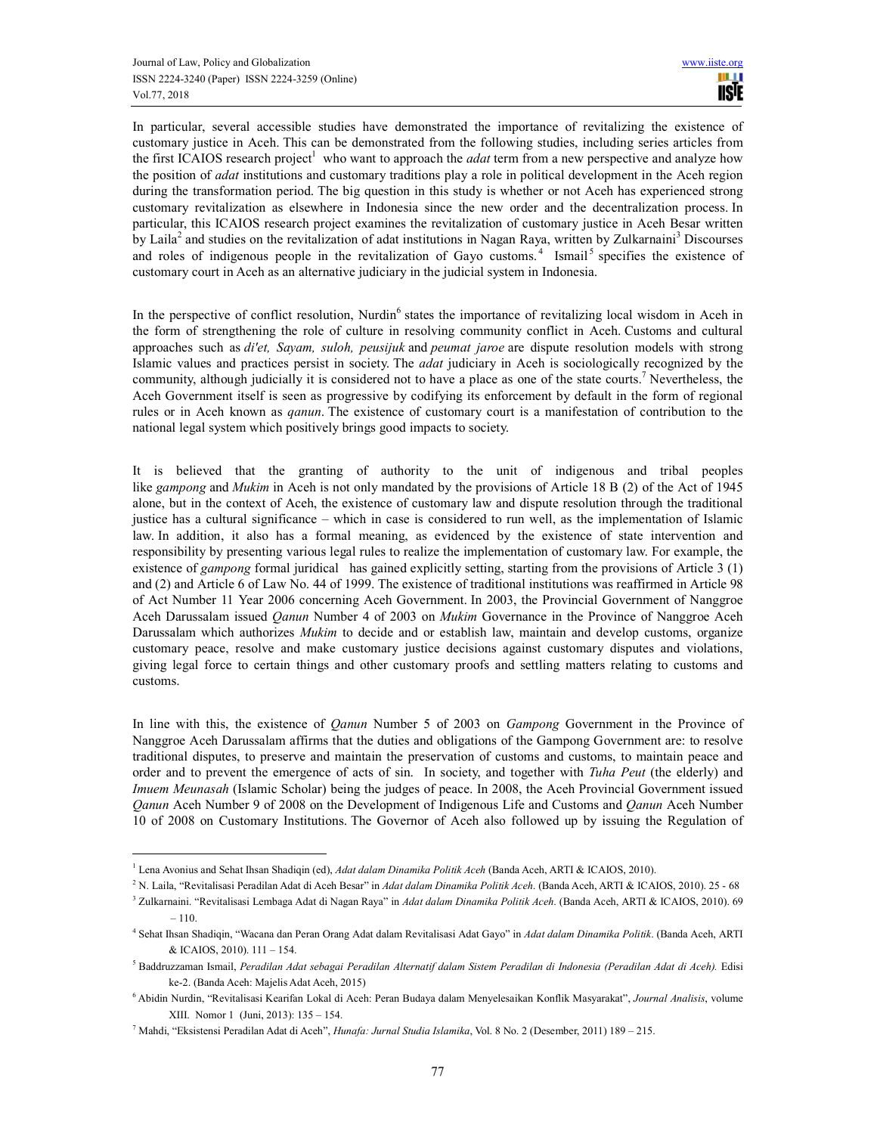In particular, several accessible studies have demonstrated the importance of revitalizing the existence of customary justice in Aceh. This can be demonstrated from the following studies, including series articles from the first ICAIOS research project<sup>1</sup> who want to approach the *adat* term from a new perspective and analyze how the position of *adat* institutions and customary traditions play a role in political development in the Aceh region during the transformation period. The big question in this study is whether or not Aceh has experienced strong customary revitalization as elsewhere in Indonesia since the new order and the decentralization process. In particular, this ICAIOS research project examines the revitalization of customary justice in Aceh Besar written by Laila<sup>2</sup> and studies on the revitalization of adat institutions in Nagan Raya, written by Zulkarnaini<sup>3</sup> Discourses and roles of indigenous people in the revitalization of Gayo customs.<sup>4</sup> Ismail<sup>5</sup> specifies the existence of customary court in Aceh as an alternative judiciary in the judicial system in Indonesia.

In the perspective of conflict resolution, Nurdin<sup>6</sup> states the importance of revitalizing local wisdom in Aceh in the form of strengthening the role of culture in resolving community conflict in Aceh. Customs and cultural approaches such as *di'et, Sayam, suloh, peusijuk* and *peumat jaroe* are dispute resolution models with strong Islamic values and practices persist in society. The *adat* judiciary in Aceh is sociologically recognized by the community, although judicially it is considered not to have a place as one of the state courts.<sup>7</sup> Nevertheless, the Aceh Government itself is seen as progressive by codifying its enforcement by default in the form of regional rules or in Aceh known as *qanun*. The existence of customary court is a manifestation of contribution to the national legal system which positively brings good impacts to society.

It is believed that the granting of authority to the unit of indigenous and tribal peoples like *gampong* and *Mukim* in Aceh is not only mandated by the provisions of Article 18 B (2) of the Act of 1945 alone, but in the context of Aceh, the existence of customary law and dispute resolution through the traditional justice has a cultural significance – which in case is considered to run well, as the implementation of Islamic law. In addition, it also has a formal meaning, as evidenced by the existence of state intervention and responsibility by presenting various legal rules to realize the implementation of customary law. For example, the existence of *gampong* formal juridical has gained explicitly setting, starting from the provisions of Article 3 (1) and (2) and Article 6 of Law No. 44 of 1999. The existence of traditional institutions was reaffirmed in Article 98 of Act Number 11 Year 2006 concerning Aceh Government. In 2003, the Provincial Government of Nanggroe Aceh Darussalam issued *Qanun* Number 4 of 2003 on *Mukim* Governance in the Province of Nanggroe Aceh Darussalam which authorizes *Mukim* to decide and or establish law, maintain and develop customs, organize customary peace, resolve and make customary justice decisions against customary disputes and violations, giving legal force to certain things and other customary proofs and settling matters relating to customs and customs.

In line with this, the existence of *Qanun* Number 5 of 2003 on *Gampong* Government in the Province of Nanggroe Aceh Darussalam affirms that the duties and obligations of the Gampong Government are: to resolve traditional disputes, to preserve and maintain the preservation of customs and customs, to maintain peace and order and to prevent the emergence of acts of sin. In society, and together with *Tuha Peut* (the elderly) and *Imuem Meunasah* (Islamic Scholar) being the judges of peace. In 2008, the Aceh Provincial Government issued *Qanun* Aceh Number 9 of 2008 on the Development of Indigenous Life and Customs and *Qanun* Aceh Number 10 of 2008 on Customary Institutions. The Governor of Aceh also followed up by issuing the Regulation of

 $\overline{a}$ 

<sup>&</sup>lt;sup>1</sup> Lena Avonius and Sehat Ihsan Shadiqin (ed), *Adat dalam Dinamika Politik Aceh* (Banda Aceh, ARTI & ICAIOS, 2010).

<sup>2</sup> N. Laila, "Revitalisasi Peradilan Adat di Aceh Besar" in *Adat dalam Dinamika Politik Aceh*. (Banda Aceh, ARTI & ICAIOS, 2010). 25 - 68

<sup>3</sup> Zulkarnaini. "Revitalisasi Lembaga Adat di Nagan Raya" in *Adat dalam Dinamika Politik Aceh*. (Banda Aceh, ARTI & ICAIOS, 2010). 69 – 110.

<sup>4</sup> Sehat Ihsan Shadiqin, "Wacana dan Peran Orang Adat dalam Revitalisasi Adat Gayo" in *Adat dalam Dinamika Politik*. (Banda Aceh, ARTI & ICAIOS, 2010). 111 – 154.

<sup>&</sup>lt;sup>5</sup> Baddruzzaman Ismail, *Peradilan Adat sebagai Peradilan Alternatif dalam Sistem Peradilan di Indonesia (Peradilan Adat di Aceh). Edisi* ke-2. (Banda Aceh: Majelis Adat Aceh, 2015)

<sup>6</sup> Abidin Nurdin, "Revitalisasi Kearifan Lokal di Aceh: Peran Budaya dalam Menyelesaikan Konflik Masyarakat", *Journal Analisis*, volume XIII. Nomor 1 (Juni, 2013): 135 – 154.

<sup>7</sup> Mahdi, "Eksistensi Peradilan Adat di Aceh", *Hunafa: Jurnal Studia Islamika*, Vol. 8 No. 2 (Desember, 2011) 189 – 215.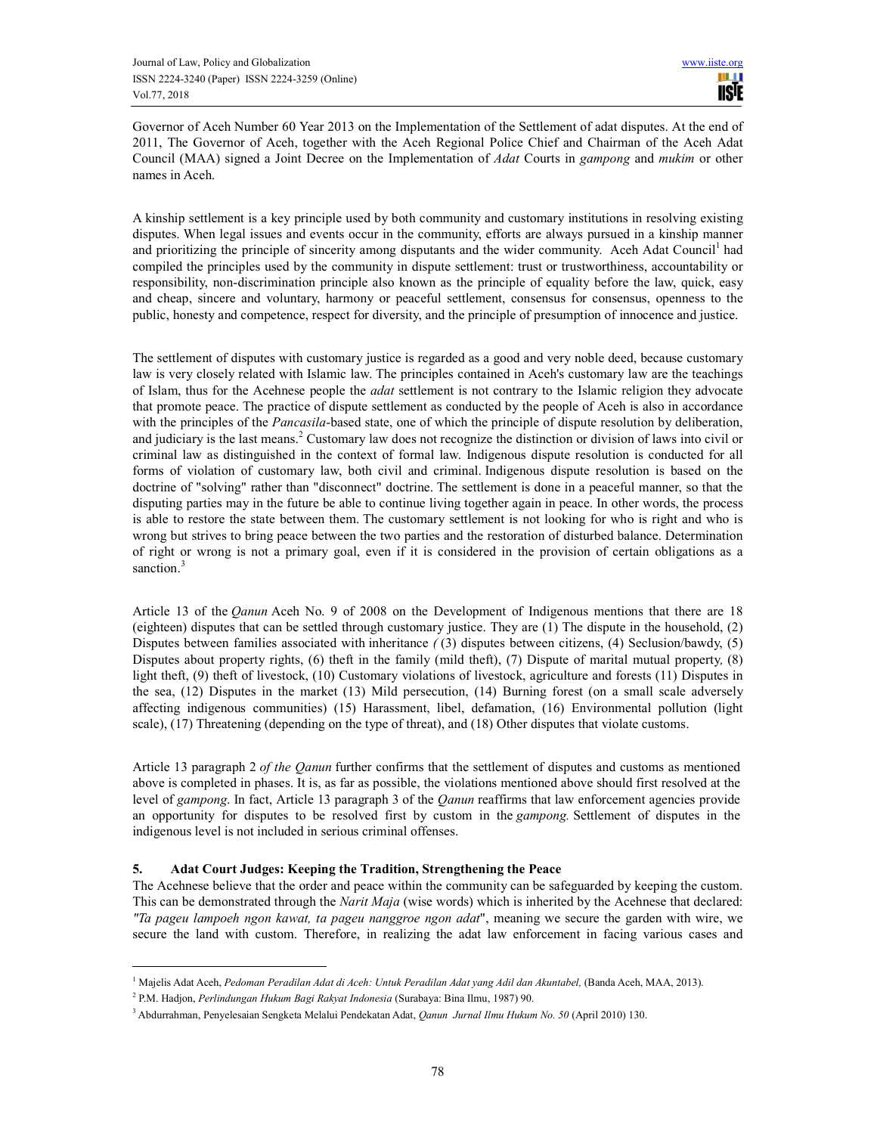Governor of Aceh Number 60 Year 2013 on the Implementation of the Settlement of adat disputes. At the end of 2011, The Governor of Aceh, together with the Aceh Regional Police Chief and Chairman of the Aceh Adat Council (MAA) signed a Joint Decree on the Implementation of *Adat* Courts in *gampong* and *mukim* or other names in Aceh.

A kinship settlement is a key principle used by both community and customary institutions in resolving existing disputes. When legal issues and events occur in the community, efforts are always pursued in a kinship manner and prioritizing the principle of sincerity among disputants and the wider community. Aceh Adat Council<sup>1</sup> had compiled the principles used by the community in dispute settlement: trust or trustworthiness, accountability or responsibility, non-discrimination principle also known as the principle of equality before the law, quick, easy and cheap, sincere and voluntary, harmony or peaceful settlement, consensus for consensus, openness to the public, honesty and competence, respect for diversity, and the principle of presumption of innocence and justice.

The settlement of disputes with customary justice is regarded as a good and very noble deed, because customary law is very closely related with Islamic law. The principles contained in Aceh's customary law are the teachings of Islam, thus for the Acehnese people the *adat* settlement is not contrary to the Islamic religion they advocate that promote peace. The practice of dispute settlement as conducted by the people of Aceh is also in accordance with the principles of the *Pancasila*-based state, one of which the principle of dispute resolution by deliberation, and judiciary is the last means.<sup>2</sup> Customary law does not recognize the distinction or division of laws into civil or criminal law as distinguished in the context of formal law. Indigenous dispute resolution is conducted for all forms of violation of customary law, both civil and criminal. Indigenous dispute resolution is based on the doctrine of "solving" rather than "disconnect" doctrine. The settlement is done in a peaceful manner, so that the disputing parties may in the future be able to continue living together again in peace. In other words, the process is able to restore the state between them. The customary settlement is not looking for who is right and who is wrong but strives to bring peace between the two parties and the restoration of disturbed balance. Determination of right or wrong is not a primary goal, even if it is considered in the provision of certain obligations as a sanction.<sup>3</sup>

Article 13 of the *Qanun* Aceh No. 9 of 2008 on the Development of Indigenous mentions that there are 18 (eighteen) disputes that can be settled through customary justice. They are (1) The dispute in the household, (2) Disputes between families associated with inheritance *(* (3) disputes between citizens, (4) Seclusion/bawdy, (5) Disputes about property rights, (6) theft in the family (mild theft), (7) Dispute of marital mutual property*,* (8) light theft, (9) theft of livestock, (10) Customary violations of livestock, agriculture and forests (11) Disputes in the sea, (12) Disputes in the market (13) Mild persecution, (14) Burning forest (on a small scale adversely affecting indigenous communities) (15) Harassment, libel, defamation, (16) Environmental pollution (light scale), (17) Threatening (depending on the type of threat), and (18) Other disputes that violate customs.

Article 13 paragraph 2 *of the Qanun* further confirms that the settlement of disputes and customs as mentioned above is completed in phases. It is, as far as possible, the violations mentioned above should first resolved at the level of *gampong*. In fact, Article 13 paragraph 3 of the *Qanun* reaffirms that law enforcement agencies provide an opportunity for disputes to be resolved first by custom in the *gampong.* Settlement of disputes in the indigenous level is not included in serious criminal offenses.

### **5. Adat Court Judges: Keeping the Tradition, Strengthening the Peace**

The Acehnese believe that the order and peace within the community can be safeguarded by keeping the custom. This can be demonstrated through the *Narit Maja* (wise words) which is inherited by the Acehnese that declared: *"Ta pageu lampoeh ngon kawat, ta pageu nanggroe ngon adat*", meaning we secure the garden with wire, we secure the land with custom. Therefore, in realizing the adat law enforcement in facing various cases and

j

<sup>&</sup>lt;sup>1</sup> Majelis Adat Aceh, *Pedoman Peradilan Adat di Aceh: Untuk Peradilan Adat yang Adil dan Akuntabel, (Banda Aceh, MAA, 2013).* 

<sup>2</sup> P.M. Hadjon, *Perlindungan Hukum Bagi Rakyat Indonesia* (Surabaya: Bina Ilmu, 1987) 90.

<sup>3</sup> Abdurrahman, Penyelesaian Sengketa Melalui Pendekatan Adat, *Qanun Jurnal Ilmu Hukum No. 50* (April 2010) 130.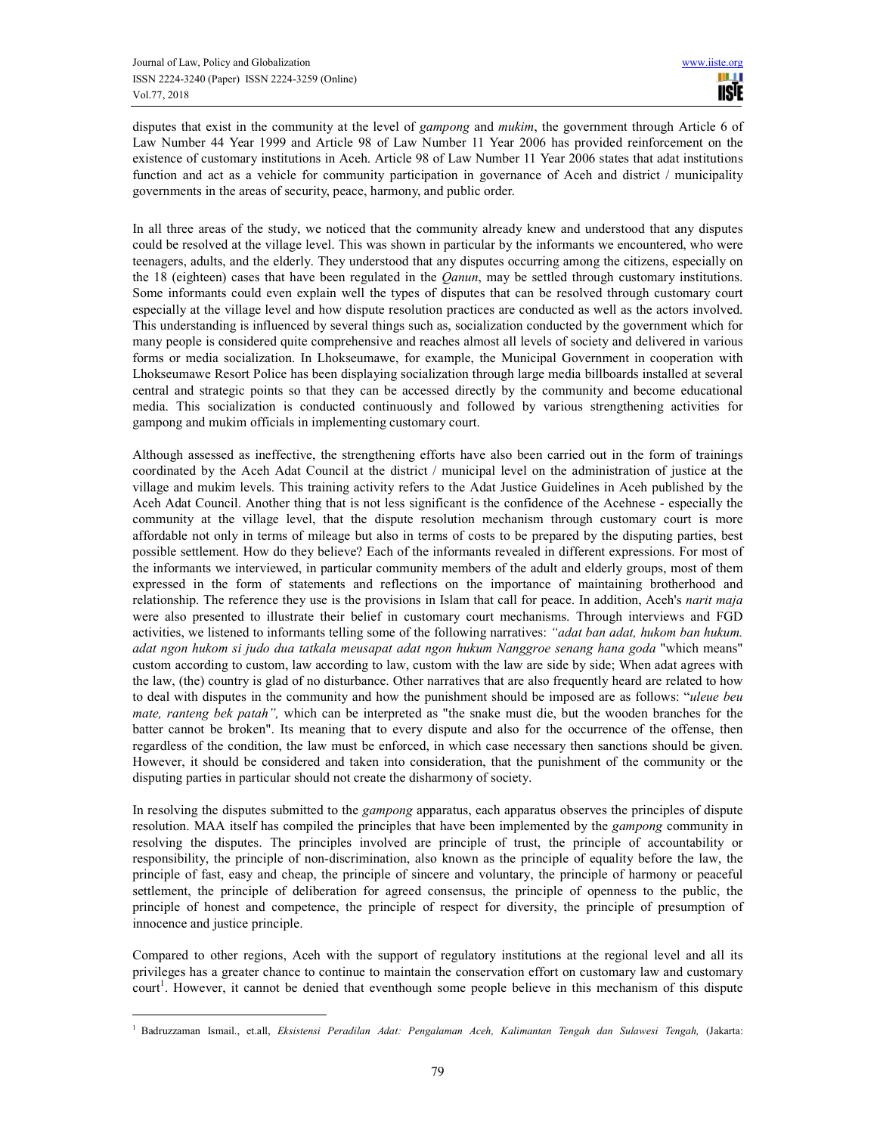$\overline{a}$ 

disputes that exist in the community at the level of *gampong* and *mukim*, the government through Article 6 of Law Number 44 Year 1999 and Article 98 of Law Number 11 Year 2006 has provided reinforcement on the existence of customary institutions in Aceh. Article 98 of Law Number 11 Year 2006 states that adat institutions function and act as a vehicle for community participation in governance of Aceh and district / municipality governments in the areas of security, peace, harmony, and public order.

In all three areas of the study, we noticed that the community already knew and understood that any disputes could be resolved at the village level. This was shown in particular by the informants we encountered, who were teenagers, adults, and the elderly. They understood that any disputes occurring among the citizens, especially on the 18 (eighteen) cases that have been regulated in the *Qanun*, may be settled through customary institutions. Some informants could even explain well the types of disputes that can be resolved through customary court especially at the village level and how dispute resolution practices are conducted as well as the actors involved. This understanding is influenced by several things such as, socialization conducted by the government which for many people is considered quite comprehensive and reaches almost all levels of society and delivered in various forms or media socialization. In Lhokseumawe, for example, the Municipal Government in cooperation with Lhokseumawe Resort Police has been displaying socialization through large media billboards installed at several central and strategic points so that they can be accessed directly by the community and become educational media. This socialization is conducted continuously and followed by various strengthening activities for gampong and mukim officials in implementing customary court.

Although assessed as ineffective, the strengthening efforts have also been carried out in the form of trainings coordinated by the Aceh Adat Council at the district / municipal level on the administration of justice at the village and mukim levels. This training activity refers to the Adat Justice Guidelines in Aceh published by the Aceh Adat Council. Another thing that is not less significant is the confidence of the Acehnese - especially the community at the village level, that the dispute resolution mechanism through customary court is more affordable not only in terms of mileage but also in terms of costs to be prepared by the disputing parties, best possible settlement. How do they believe? Each of the informants revealed in different expressions. For most of the informants we interviewed, in particular community members of the adult and elderly groups, most of them expressed in the form of statements and reflections on the importance of maintaining brotherhood and relationship. The reference they use is the provisions in Islam that call for peace. In addition, Aceh's *narit maja* were also presented to illustrate their belief in customary court mechanisms. Through interviews and FGD activities, we listened to informants telling some of the following narratives: *"adat ban adat, hukom ban hukum. adat ngon hukom si judo dua tatkala meusapat adat ngon hukum Nanggroe senang hana goda* "which means" custom according to custom, law according to law, custom with the law are side by side; When adat agrees with the law, (the) country is glad of no disturbance. Other narratives that are also frequently heard are related to how to deal with disputes in the community and how the punishment should be imposed are as follows: "*uleue beu mate, ranteng bek patah",* which can be interpreted as "the snake must die, but the wooden branches for the batter cannot be broken". Its meaning that to every dispute and also for the occurrence of the offense, then regardless of the condition, the law must be enforced, in which case necessary then sanctions should be given. However, it should be considered and taken into consideration, that the punishment of the community or the disputing parties in particular should not create the disharmony of society.

In resolving the disputes submitted to the *gampong* apparatus, each apparatus observes the principles of dispute resolution. MAA itself has compiled the principles that have been implemented by the *gampong* community in resolving the disputes. The principles involved are principle of trust, the principle of accountability or responsibility, the principle of non-discrimination, also known as the principle of equality before the law, the principle of fast, easy and cheap, the principle of sincere and voluntary, the principle of harmony or peaceful settlement, the principle of deliberation for agreed consensus, the principle of openness to the public, the principle of honest and competence, the principle of respect for diversity, the principle of presumption of innocence and justice principle.

Compared to other regions, Aceh with the support of regulatory institutions at the regional level and all its privileges has a greater chance to continue to maintain the conservation effort on customary law and customary court<sup>1</sup>. However, it cannot be denied that eventhough some people believe in this mechanism of this dispute

<sup>1</sup> Badruzzaman Ismail., et.all, *Eksistensi Peradilan Adat: Pengalaman Aceh, Kalimantan Tengah dan Sulawesi Tengah,* (Jakarta: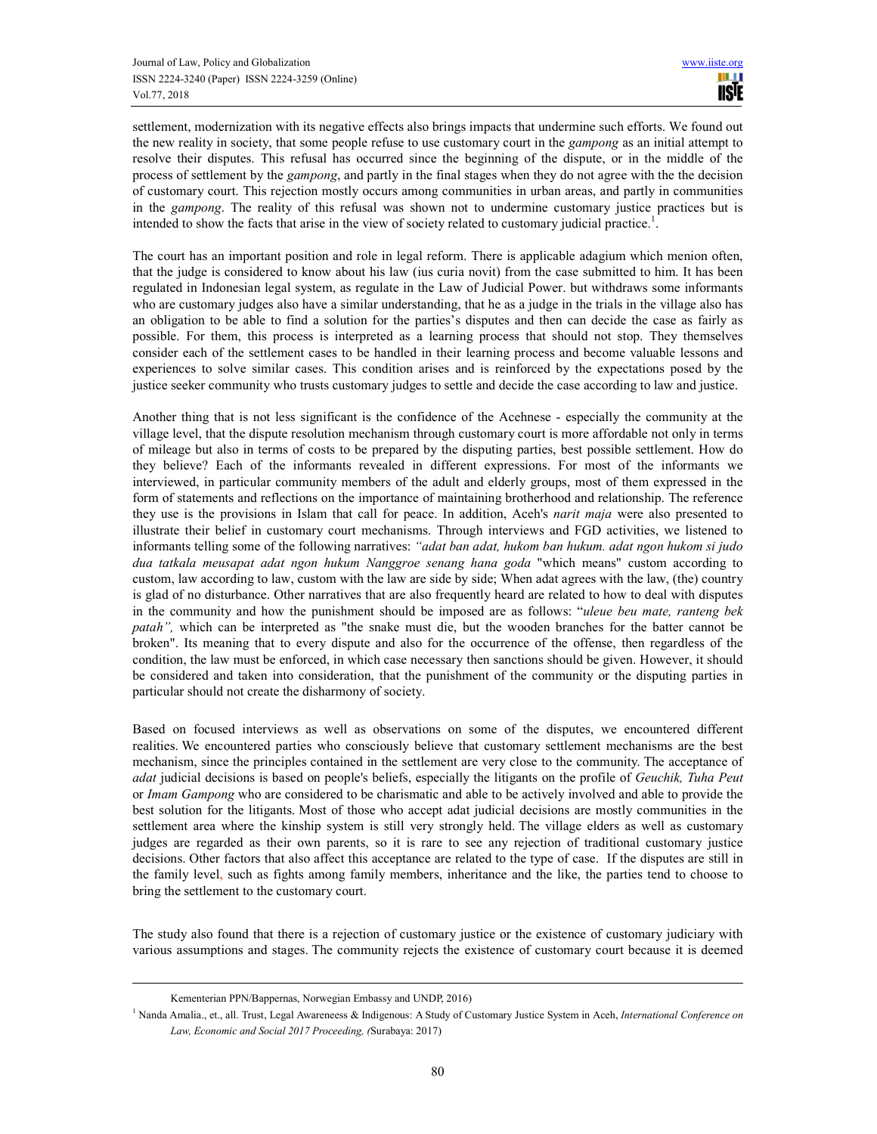settlement, modernization with its negative effects also brings impacts that undermine such efforts. We found out the new reality in society, that some people refuse to use customary court in the *gampong* as an initial attempt to resolve their disputes. This refusal has occurred since the beginning of the dispute, or in the middle of the process of settlement by the *gampong*, and partly in the final stages when they do not agree with the the decision of customary court. This rejection mostly occurs among communities in urban areas, and partly in communities in the *gampong*. The reality of this refusal was shown not to undermine customary justice practices but is intended to show the facts that arise in the view of society related to customary judicial practice.<sup>1</sup>.

The court has an important position and role in legal reform. There is applicable adagium which menion often, that the judge is considered to know about his law (ius curia novit) from the case submitted to him. It has been regulated in Indonesian legal system, as regulate in the Law of Judicial Power. but withdraws some informants who are customary judges also have a similar understanding, that he as a judge in the trials in the village also has an obligation to be able to find a solution for the parties's disputes and then can decide the case as fairly as possible. For them, this process is interpreted as a learning process that should not stop. They themselves consider each of the settlement cases to be handled in their learning process and become valuable lessons and experiences to solve similar cases. This condition arises and is reinforced by the expectations posed by the justice seeker community who trusts customary judges to settle and decide the case according to law and justice.

Another thing that is not less significant is the confidence of the Acehnese - especially the community at the village level, that the dispute resolution mechanism through customary court is more affordable not only in terms of mileage but also in terms of costs to be prepared by the disputing parties, best possible settlement. How do they believe? Each of the informants revealed in different expressions. For most of the informants we interviewed, in particular community members of the adult and elderly groups, most of them expressed in the form of statements and reflections on the importance of maintaining brotherhood and relationship. The reference they use is the provisions in Islam that call for peace. In addition, Aceh's *narit maja* were also presented to illustrate their belief in customary court mechanisms. Through interviews and FGD activities, we listened to informants telling some of the following narratives: *"adat ban adat, hukom ban hukum. adat ngon hukom si judo dua tatkala meusapat adat ngon hukum Nanggroe senang hana goda* "which means" custom according to custom, law according to law, custom with the law are side by side; When adat agrees with the law, (the) country is glad of no disturbance. Other narratives that are also frequently heard are related to how to deal with disputes in the community and how the punishment should be imposed are as follows: "*uleue beu mate, ranteng bek patah*", which can be interpreted as "the snake must die, but the wooden branches for the batter cannot be broken". Its meaning that to every dispute and also for the occurrence of the offense, then regardless of the condition, the law must be enforced, in which case necessary then sanctions should be given. However, it should be considered and taken into consideration, that the punishment of the community or the disputing parties in particular should not create the disharmony of society.

Based on focused interviews as well as observations on some of the disputes, we encountered different realities. We encountered parties who consciously believe that customary settlement mechanisms are the best mechanism, since the principles contained in the settlement are very close to the community. The acceptance of *adat* judicial decisions is based on people's beliefs, especially the litigants on the profile of *Geuchik, Tuha Peut* or *Imam Gampong* who are considered to be charismatic and able to be actively involved and able to provide the best solution for the litigants. Most of those who accept adat judicial decisions are mostly communities in the settlement area where the kinship system is still very strongly held. The village elders as well as customary judges are regarded as their own parents, so it is rare to see any rejection of traditional customary justice decisions. Other factors that also affect this acceptance are related to the type of case. If the disputes are still in the family level, such as fights among family members, inheritance and the like, the parties tend to choose to bring the settlement to the customary court.

The study also found that there is a rejection of customary justice or the existence of customary judiciary with various assumptions and stages. The community rejects the existence of customary court because it is deemed

 $\overline{a}$ 

Kementerian PPN/Bappernas, Norwegian Embassy and UNDP, 2016)

<sup>&</sup>lt;sup>1</sup> Nanda Amalia., et., all. Trust, Legal Awareneess & Indigenous: A Study of Customary Justice System in Aceh, *International Conference on Law, Economic and Social 2017 Proceeding, (*Surabaya: 2017)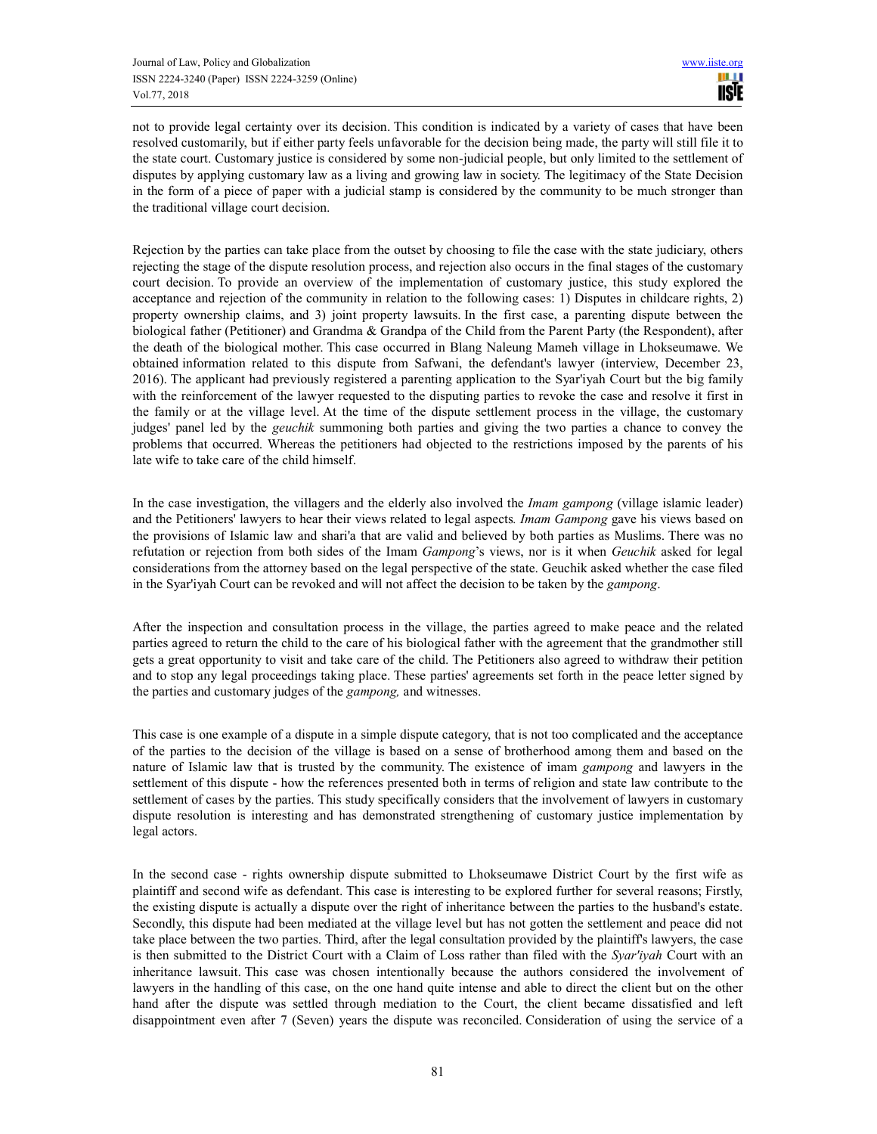not to provide legal certainty over its decision. This condition is indicated by a variety of cases that have been resolved customarily, but if either party feels unfavorable for the decision being made, the party will still file it to the state court. Customary justice is considered by some non-judicial people, but only limited to the settlement of disputes by applying customary law as a living and growing law in society. The legitimacy of the State Decision in the form of a piece of paper with a judicial stamp is considered by the community to be much stronger than the traditional village court decision.

Rejection by the parties can take place from the outset by choosing to file the case with the state judiciary, others rejecting the stage of the dispute resolution process, and rejection also occurs in the final stages of the customary court decision. To provide an overview of the implementation of customary justice, this study explored the acceptance and rejection of the community in relation to the following cases: 1) Disputes in childcare rights, 2) property ownership claims, and 3) joint property lawsuits. In the first case, a parenting dispute between the biological father (Petitioner) and Grandma & Grandpa of the Child from the Parent Party (the Respondent), after the death of the biological mother. This case occurred in Blang Naleung Mameh village in Lhokseumawe. We obtained information related to this dispute from Safwani, the defendant's lawyer (interview, December 23, 2016). The applicant had previously registered a parenting application to the Syar'iyah Court but the big family with the reinforcement of the lawyer requested to the disputing parties to revoke the case and resolve it first in the family or at the village level. At the time of the dispute settlement process in the village, the customary judges' panel led by the *geuchik* summoning both parties and giving the two parties a chance to convey the problems that occurred. Whereas the petitioners had objected to the restrictions imposed by the parents of his late wife to take care of the child himself.

In the case investigation, the villagers and the elderly also involved the *Imam gampong* (village islamic leader) and the Petitioners' lawyers to hear their views related to legal aspects*. Imam Gampong* gave his views based on the provisions of Islamic law and shari'a that are valid and believed by both parties as Muslims. There was no refutation or rejection from both sides of the Imam *Gampong*'s views, nor is it when *Geuchik* asked for legal considerations from the attorney based on the legal perspective of the state. Geuchik asked whether the case filed in the Syar'iyah Court can be revoked and will not affect the decision to be taken by the *gampong*.

After the inspection and consultation process in the village, the parties agreed to make peace and the related parties agreed to return the child to the care of his biological father with the agreement that the grandmother still gets a great opportunity to visit and take care of the child. The Petitioners also agreed to withdraw their petition and to stop any legal proceedings taking place. These parties' agreements set forth in the peace letter signed by the parties and customary judges of the *gampong,* and witnesses.

This case is one example of a dispute in a simple dispute category, that is not too complicated and the acceptance of the parties to the decision of the village is based on a sense of brotherhood among them and based on the nature of Islamic law that is trusted by the community. The existence of imam *gampong* and lawyers in the settlement of this dispute - how the references presented both in terms of religion and state law contribute to the settlement of cases by the parties. This study specifically considers that the involvement of lawyers in customary dispute resolution is interesting and has demonstrated strengthening of customary justice implementation by legal actors.

In the second case - rights ownership dispute submitted to Lhokseumawe District Court by the first wife as plaintiff and second wife as defendant. This case is interesting to be explored further for several reasons; Firstly, the existing dispute is actually a dispute over the right of inheritance between the parties to the husband's estate. Secondly, this dispute had been mediated at the village level but has not gotten the settlement and peace did not take place between the two parties. Third, after the legal consultation provided by the plaintiff's lawyers, the case is then submitted to the District Court with a Claim of Loss rather than filed with the *Syar'iyah* Court with an inheritance lawsuit. This case was chosen intentionally because the authors considered the involvement of lawyers in the handling of this case, on the one hand quite intense and able to direct the client but on the other hand after the dispute was settled through mediation to the Court, the client became dissatisfied and left disappointment even after 7 (Seven) years the dispute was reconciled. Consideration of using the service of a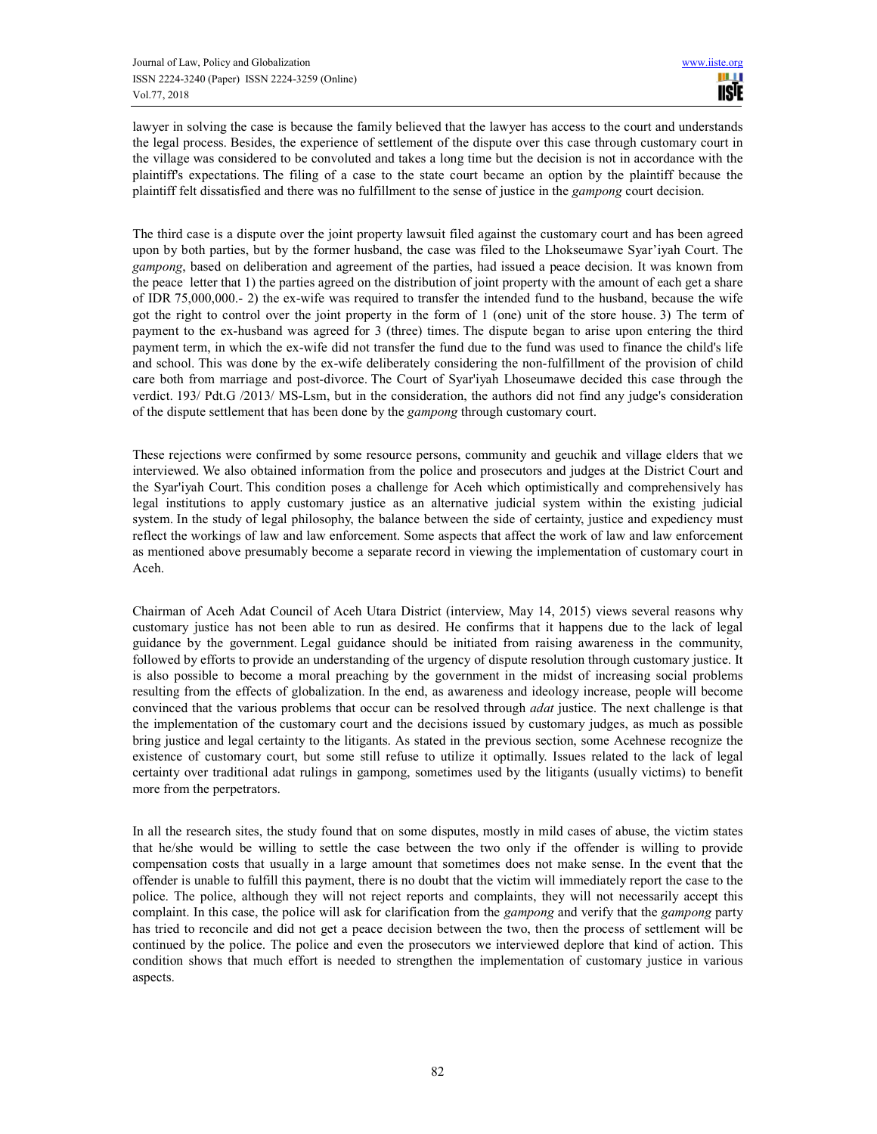lawyer in solving the case is because the family believed that the lawyer has access to the court and understands the legal process. Besides, the experience of settlement of the dispute over this case through customary court in the village was considered to be convoluted and takes a long time but the decision is not in accordance with the plaintiff's expectations. The filing of a case to the state court became an option by the plaintiff because the plaintiff felt dissatisfied and there was no fulfillment to the sense of justice in the *gampong* court decision.

The third case is a dispute over the joint property lawsuit filed against the customary court and has been agreed upon by both parties, but by the former husband, the case was filed to the Lhokseumawe Syar'iyah Court. The *gampong*, based on deliberation and agreement of the parties, had issued a peace decision. It was known from the peace letter that 1) the parties agreed on the distribution of joint property with the amount of each get a share of IDR 75,000,000.- 2) the ex-wife was required to transfer the intended fund to the husband, because the wife got the right to control over the joint property in the form of 1 (one) unit of the store house. 3) The term of payment to the ex-husband was agreed for 3 (three) times. The dispute began to arise upon entering the third payment term, in which the ex-wife did not transfer the fund due to the fund was used to finance the child's life and school. This was done by the ex-wife deliberately considering the non-fulfillment of the provision of child care both from marriage and post-divorce. The Court of Syar'iyah Lhoseumawe decided this case through the verdict. 193/ Pdt.G /2013/ MS-Lsm, but in the consideration, the authors did not find any judge's consideration of the dispute settlement that has been done by the *gampong* through customary court.

These rejections were confirmed by some resource persons, community and geuchik and village elders that we interviewed. We also obtained information from the police and prosecutors and judges at the District Court and the Syar'iyah Court. This condition poses a challenge for Aceh which optimistically and comprehensively has legal institutions to apply customary justice as an alternative judicial system within the existing judicial system. In the study of legal philosophy, the balance between the side of certainty, justice and expediency must reflect the workings of law and law enforcement. Some aspects that affect the work of law and law enforcement as mentioned above presumably become a separate record in viewing the implementation of customary court in Aceh.

Chairman of Aceh Adat Council of Aceh Utara District (interview, May 14, 2015) views several reasons why customary justice has not been able to run as desired. He confirms that it happens due to the lack of legal guidance by the government. Legal guidance should be initiated from raising awareness in the community, followed by efforts to provide an understanding of the urgency of dispute resolution through customary justice. It is also possible to become a moral preaching by the government in the midst of increasing social problems resulting from the effects of globalization. In the end, as awareness and ideology increase, people will become convinced that the various problems that occur can be resolved through *adat* justice. The next challenge is that the implementation of the customary court and the decisions issued by customary judges, as much as possible bring justice and legal certainty to the litigants. As stated in the previous section, some Acehnese recognize the existence of customary court, but some still refuse to utilize it optimally. Issues related to the lack of legal certainty over traditional adat rulings in gampong, sometimes used by the litigants (usually victims) to benefit more from the perpetrators.

In all the research sites, the study found that on some disputes, mostly in mild cases of abuse, the victim states that he/she would be willing to settle the case between the two only if the offender is willing to provide compensation costs that usually in a large amount that sometimes does not make sense. In the event that the offender is unable to fulfill this payment, there is no doubt that the victim will immediately report the case to the police. The police, although they will not reject reports and complaints, they will not necessarily accept this complaint. In this case, the police will ask for clarification from the *gampong* and verify that the *gampong* party has tried to reconcile and did not get a peace decision between the two, then the process of settlement will be continued by the police. The police and even the prosecutors we interviewed deplore that kind of action. This condition shows that much effort is needed to strengthen the implementation of customary justice in various aspects.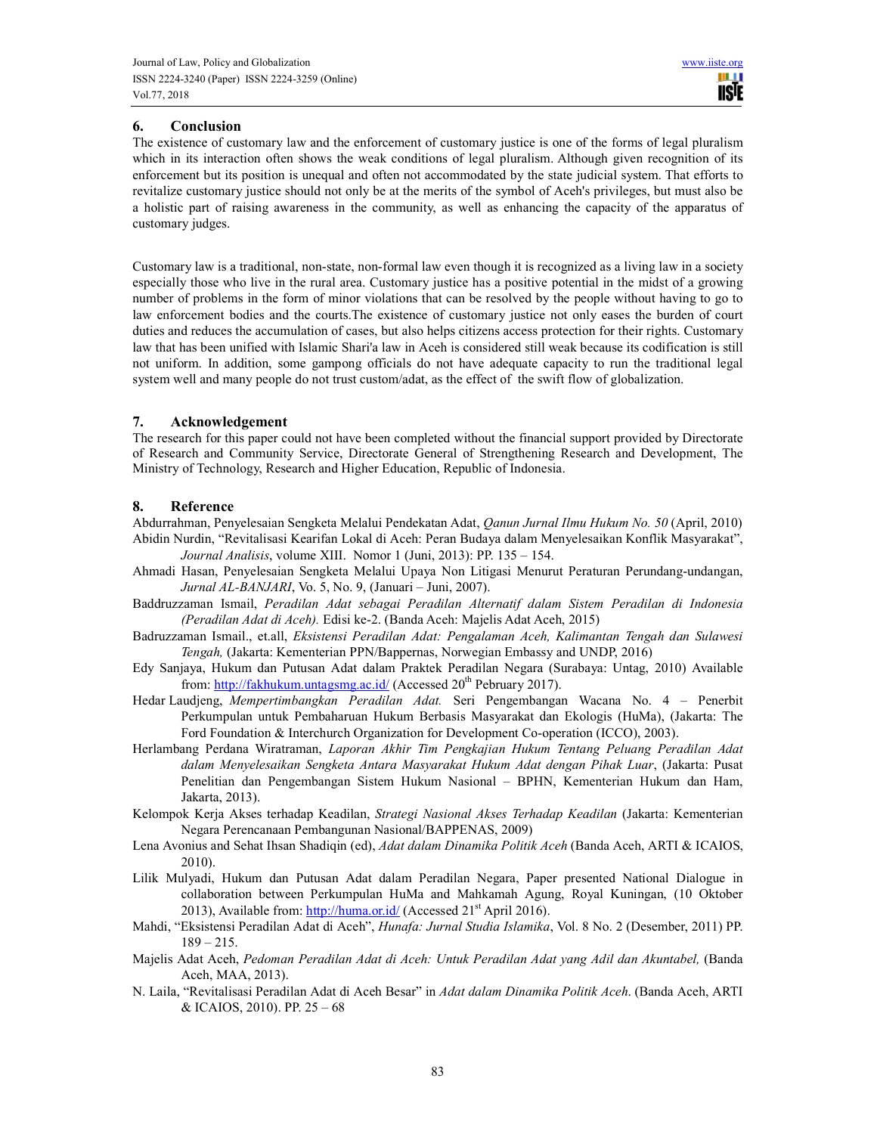# **6. Conclusion**

The existence of customary law and the enforcement of customary justice is one of the forms of legal pluralism which in its interaction often shows the weak conditions of legal pluralism. Although given recognition of its enforcement but its position is unequal and often not accommodated by the state judicial system. That efforts to revitalize customary justice should not only be at the merits of the symbol of Aceh's privileges, but must also be a holistic part of raising awareness in the community, as well as enhancing the capacity of the apparatus of customary judges.

Customary law is a traditional, non-state, non-formal law even though it is recognized as a living law in a society especially those who live in the rural area. Customary justice has a positive potential in the midst of a growing number of problems in the form of minor violations that can be resolved by the people without having to go to law enforcement bodies and the courts.The existence of customary justice not only eases the burden of court duties and reduces the accumulation of cases, but also helps citizens access protection for their rights. Customary law that has been unified with Islamic Shari'a law in Aceh is considered still weak because its codification is still not uniform. In addition, some gampong officials do not have adequate capacity to run the traditional legal system well and many people do not trust custom/adat, as the effect of the swift flow of globalization.

# **7. Acknowledgement**

The research for this paper could not have been completed without the financial support provided by Directorate of Research and Community Service, Directorate General of Strengthening Research and Development, The Ministry of Technology, Research and Higher Education, Republic of Indonesia.

## **8. Reference**

Abdurrahman, Penyelesaian Sengketa Melalui Pendekatan Adat, *Qanun Jurnal Ilmu Hukum No. 50* (April, 2010) Abidin Nurdin, "Revitalisasi Kearifan Lokal di Aceh: Peran Budaya dalam Menyelesaikan Konflik Masyarakat", *Journal Analisis*, volume XIII. Nomor 1 (Juni, 2013): PP. 135 – 154.

- Ahmadi Hasan, Penyelesaian Sengketa Melalui Upaya Non Litigasi Menurut Peraturan Perundang-undangan, *Jurnal AL-BANJARI*, Vo. 5, No. 9, (Januari – Juni, 2007).
- Baddruzzaman Ismail, *Peradilan Adat sebagai Peradilan Alternatif dalam Sistem Peradilan di Indonesia (Peradilan Adat di Aceh).* Edisi ke-2. (Banda Aceh: Majelis Adat Aceh, 2015)
- Badruzzaman Ismail., et.all, *Eksistensi Peradilan Adat: Pengalaman Aceh, Kalimantan Tengah dan Sulawesi Tengah,* (Jakarta: Kementerian PPN/Bappernas, Norwegian Embassy and UNDP, 2016)
- Edy Sanjaya, Hukum dan Putusan Adat dalam Praktek Peradilan Negara (Surabaya: Untag, 2010) Available from: http://fakhukum.untagsmg.ac.id/ (Accessed 20<sup>th</sup> Pebruary 2017).
- Hedar Laudjeng, *Mempertimbangkan Peradilan Adat.* Seri Pengembangan Wacana No. 4 Penerbit Perkumpulan untuk Pembaharuan Hukum Berbasis Masyarakat dan Ekologis (HuMa), (Jakarta: The Ford Foundation & Interchurch Organization for Development Co-operation (ICCO), 2003).
- Herlambang Perdana Wiratraman, *Laporan Akhir Tim Pengkajian Hukum Tentang Peluang Peradilan Adat dalam Menyelesaikan Sengketa Antara Masyarakat Hukum Adat dengan Pihak Luar*, (Jakarta: Pusat Penelitian dan Pengembangan Sistem Hukum Nasional – BPHN, Kementerian Hukum dan Ham, Jakarta, 2013).
- Kelompok Kerja Akses terhadap Keadilan, *Strategi Nasional Akses Terhadap Keadilan* (Jakarta: Kementerian Negara Perencanaan Pembangunan Nasional/BAPPENAS, 2009)
- Lena Avonius and Sehat Ihsan Shadiqin (ed), *Adat dalam Dinamika Politik Aceh* (Banda Aceh, ARTI & ICAIOS, 2010).
- Lilik Mulyadi, Hukum dan Putusan Adat dalam Peradilan Negara, Paper presented National Dialogue in collaboration between Perkumpulan HuMa and Mahkamah Agung, Royal Kuningan, (10 Oktober 2013), Available from:  $\frac{http://human.ori}/(Accessed 21^{st} April 2016)$ .
- Mahdi, "Eksistensi Peradilan Adat di Aceh", *Hunafa: Jurnal Studia Islamika*, Vol. 8 No. 2 (Desember, 2011) PP. 189 – 215.
- Majelis Adat Aceh, *Pedoman Peradilan Adat di Aceh: Untuk Peradilan Adat yang Adil dan Akuntabel,* (Banda Aceh, MAA, 2013).
- N. Laila, "Revitalisasi Peradilan Adat di Aceh Besar" in *Adat dalam Dinamika Politik Aceh*. (Banda Aceh, ARTI & ICAIOS, 2010). PP. 25 – 68